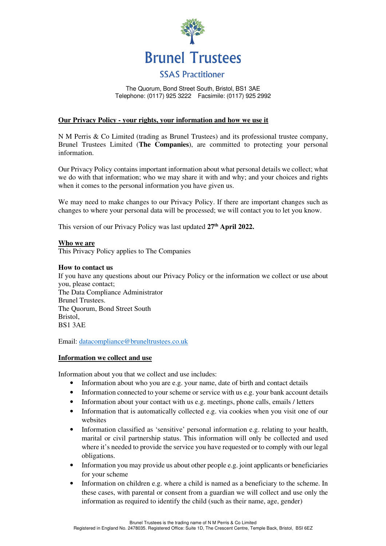

The Quorum, Bond Street South, Bristol, BS1 3AE Telephone: (0117) 925 3222 Facsimile: (0117) 925 2992

# **Our Privacy Policy - your rights, your information and how we use it**

N M Perris & Co Limited (trading as Brunel Trustees) and its professional trustee company, Brunel Trustees Limited (**The Companies**), are committed to protecting your personal information.

Our Privacy Policy contains important information about what personal details we collect; what we do with that information; who we may share it with and why; and your choices and rights when it comes to the personal information you have given us.

We may need to make changes to our Privacy Policy. If there are important changes such as changes to where your personal data will be processed; we will contact you to let you know.

This version of our Privacy Policy was last updated **27th April 2022.**

#### **Who we are**

This Privacy Policy applies to The Companies

#### **How to contact us**

If you have any questions about our Privacy Policy or the information we collect or use about you, please contact; The Data Compliance Administrator Brunel Trustees. The Quorum, Bond Street South Bristol, BS1 3AE

Email: datacompliance@bruneltrustees.co.uk

# **Information we collect and use**

Information about you that we collect and use includes:

- Information about who you are e.g. your name, date of birth and contact details
- Information connected to your scheme or service with us e.g. your bank account details
- Information about your contact with us e.g. meetings, phone calls, emails / letters
- Information that is automatically collected e.g. via cookies when you visit one of our websites
- Information classified as 'sensitive' personal information e.g. relating to your health, marital or civil partnership status. This information will only be collected and used where it's needed to provide the service you have requested or to comply with our legal obligations.
- Information you may provide us about other people e.g. joint applicants or beneficiaries for your scheme
- Information on children e.g. where a child is named as a beneficiary to the scheme. In these cases, with parental or consent from a guardian we will collect and use only the information as required to identify the child (such as their name, age, gender)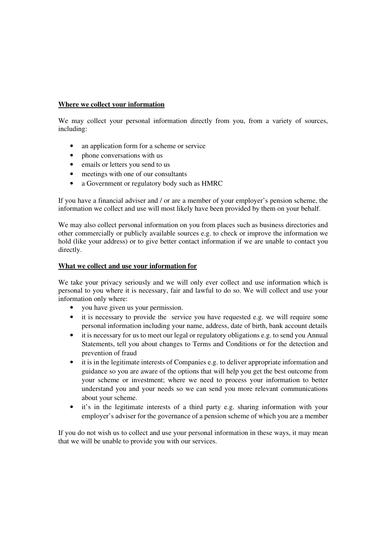# **Where we collect your information**

We may collect your personal information directly from you, from a variety of sources, including:

- an application form for a scheme or service
- phone conversations with us
- emails or letters you send to us
- meetings with one of our consultants
- a Government or regulatory body such as HMRC

If you have a financial adviser and / or are a member of your employer's pension scheme, the information we collect and use will most likely have been provided by them on your behalf.

We may also collect personal information on you from places such as business directories and other commercially or publicly available sources e.g. to check or improve the information we hold (like your address) or to give better contact information if we are unable to contact you directly.

# **What we collect and use your information for**

We take your privacy seriously and we will only ever collect and use information which is personal to you where it is necessary, fair and lawful to do so. We will collect and use your information only where:

- you have given us your permission.
- it is necessary to provide the service you have requested e.g. we will require some personal information including your name, address, date of birth, bank account details
- it is necessary for us to meet our legal or regulatory obligations e.g. to send you Annual Statements, tell you about changes to Terms and Conditions or for the detection and prevention of fraud
- it is in the legitimate interests of Companies e.g. to deliver appropriate information and guidance so you are aware of the options that will help you get the best outcome from your scheme or investment; where we need to process your information to better understand you and your needs so we can send you more relevant communications about your scheme.
- it's in the legitimate interests of a third party e.g. sharing information with your employer's adviser for the governance of a pension scheme of which you are a member

If you do not wish us to collect and use your personal information in these ways, it may mean that we will be unable to provide you with our services.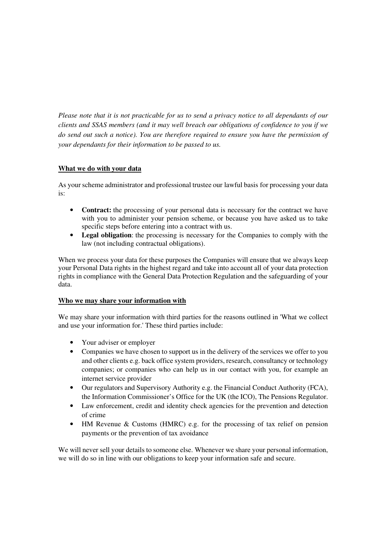*Please note that it is not practicable for us to send a privacy notice to all dependants of our clients and SSAS members (and it may well breach our obligations of confidence to you if we do send out such a notice). You are therefore required to ensure you have the permission of your dependants for their information to be passed to us.* 

# **What we do with your data**

As your scheme administrator and professional trustee our lawful basis for processing your data is:

- **Contract:** the processing of your personal data is necessary for the contract we have with you to administer your pension scheme, or because you have asked us to take specific steps before entering into a contract with us.
- **Legal obligation**: the processing is necessary for the Companies to comply with the law (not including contractual obligations).

When we process your data for these purposes the Companies will ensure that we always keep your Personal Data rights in the highest regard and take into account all of your data protection rights in compliance with the General Data Protection Regulation and the safeguarding of your data.

# **Who we may share your information with**

We may share your information with third parties for the reasons outlined in 'What we collect and use your information for.' These third parties include:

- Your adviser or employer
- Companies we have chosen to support us in the delivery of the services we offer to you and other clients e.g. back office system providers, research, consultancy or technology companies; or companies who can help us in our contact with you, for example an internet service provider
- Our regulators and Supervisory Authority e.g. the Financial Conduct Authority (FCA), the Information Commissioner's Office for the UK (the ICO), The Pensions Regulator.
- Law enforcement, credit and identity check agencies for the prevention and detection of crime
- HM Revenue & Customs (HMRC) e.g. for the processing of tax relief on pension payments or the prevention of tax avoidance

We will never sell your details to someone else. Whenever we share your personal information, we will do so in line with our obligations to keep your information safe and secure.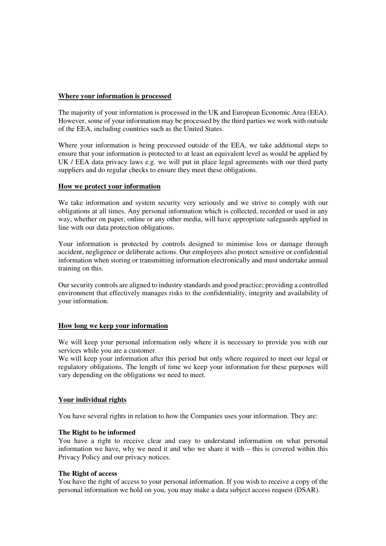# **Where your information is processed**

The majority of your information is processed in the UK and European Economic Area (EEA). However, some of your information may be processed by the third parties we work with outside of the EEA, including countries such as the United States.

Where your information is being processed outside of the EEA, we take additional steps to ensure that your information is protected to at least an equivalent level as would be applied by UK / EEA data privacy laws e.g. we will put in place legal agreements with our third party suppliers and do regular checks to ensure they meet these obligations.

## **How we protect your information**

We take information and system security very seriously and we strive to comply with our obligations at all times. Any personal information which is collected, recorded or used in any way, whether on paper, online or any other media, will have appropriate safeguards applied in line with our data protection obligations.

Your information is protected by controls designed to minimise loss or damage through accident, negligence or deliberate actions. Our employees also protect sensitive or confidential information when storing or transmitting information electronically and must undertake annual training on this.

Our security controls are aligned to industry standards and good practice; providing a controlled environment that effectively manages risks to the confidentiality, integrity and availability of your information.

## **How long we keep your information**

We will keep your personal information only where it is necessary to provide you with our services while you are a customer.

We will keep your information after this period but only where required to meet our legal or regulatory obligations. The length of time we keep your information for these purposes will vary depending on the obligations we need to meet.

## **Your individual rights**

You have several rights in relation to how the Companies uses your information. They are:

#### **The Right to be informed**

You have a right to receive clear and easy to understand information on what personal information we have, why we need it and who we share it with – this is covered within this Privacy Policy and our privacy notices.

#### **The Right of access**

You have the right of access to your personal information. If you wish to receive a copy of the personal information we hold on you, you may make a data subject access request (DSAR).